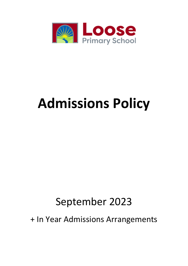

# **Admissions Policy**

## September 2023

+ In Year Admissions Arrangements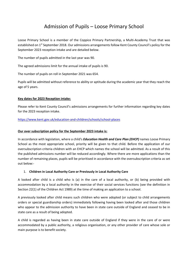### Admission of Pupils – Loose Primary School

Loose Primary School is a member of the Coppice Primary Partnership, a Multi-Academy Trust that was established on 1<sup>st</sup> September 2018. Our admissions arrangements follow Kent County Council's policy for the September 2023 reception intake and are detailed below.

The number of pupils admitted in the last year was 90.

The agreed admissions limit for the annual intake of pupils is 90.

The number of pupils on roll in September 2021 was 654.

Pupils will be admitted without reference to ability or aptitude during the academic year that they reach the age of 5 years.

#### **Key dates for 2023 Reception intake:**

Please refer to Kent County Council's admissions arrangements for further information regarding key dates for the 2023 reception intake.

#### <https://www.kent.gov.uk/education-and-children/schools/school-places>

#### **Our over subscription policy for the September 2023 intake is:**

In accordance with legislation, where a child's *Education Health and Care Plan (EHCP)* names Loose Primary School as the most appropriate school, priority will be given to that child. Before the application of our oversubscription criteria children with an EHCP which names the school will be admitted. As a result of this the published admissions number will be reduced accordingly. Where there are more applications than the number of remaining places, pupils will be prioritised in accordance with the oversubscription criteria as set out below:-

#### 1. **Children in Local Authority Care or Previously in Local Authority Care**

A looked after child is a child who is (a) in the care of a local authority, or (b) being provided with accommodation by a local authority in the exercise of their social services functions (see the definition in Section 22(1) of the Children Act 1989) at the time of making an application to a school.

A previously looked after child means such children who were adopted (or subject to child arrangements orders or special guardianship orders) immediately following having been looked after and those children who appear to the admission authority to have been in state care outside of England and ceased to be in state care as a result of being adopted.

A child is regarded as having been in state care outside of England if they were in the care of or were accommodated by a public authority, a religious organisation, or any other provider of care whose sole or main purpose is to benefit society.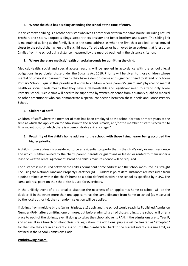#### **2. Where the child has a sibling attending the school at the time of entry.**

In this context a sibling is a brother or sister who live as brother or sister in the same house, including natural brothers and sisters, adopted siblings, stepbrothers or sister and foster brothers and sisters. The sibling link is maintained as long as the family lives at the same address as when the first child applied, or has moved closer to the school than when the first child was offered a place, or has moved to an address that is less than 2 miles from the school using distance measured by the method outlined in the distance criterion.

#### **3. Where there are medical/health or social grounds for admitting the child.**

Medical/Health, social and special access reasons will be applied in accordance with the school's legal obligations, in particular those under the Equality Act 2010. Priority will be given to those children whose mental or physical impairment means they have a demonstrable and significant need to attend only Loose Primary School. Equally this priority will apply to children whose parents'/ guardians' physical or mental health or social needs means that they have a demonstrable and significant need to attend only Loose Primary School. Such claims will need to be supported by written evidence from a suitably qualified medical or other practitioner who can demonstrate a special connection between these needs and Loose Primary School.

#### **4. Children of Staff**

Children of staff where the member of staff has been employed at the school for two or more years at the time at which the application for admission to the school is made, and/or the member of staff is recruited to fill a vacant post for which there is a demonstrable skill shortage."

#### **5. Proximity of the child's home address to the school, with those living nearer being accorded the higher priority.**

A child's home address is considered to be a residential property that is the child's only or main residence and which is either owned by the child's parent, parents or guardians or leased or rented to them under a lease or written rental agreement. Proof of a child's main residence will be required.

The distance is measured between the child's permanent home address and the school measured in a straight line using the National Land and Property Gazetteer (NLPG) address point data. Distances are measured from a point defined as within the child's home to a point defined as within the school as specified by NLPG. The same address point on the school site is used for everybody.

In the unlikely event of a tie breaker situation the nearness of an applicant's home to school will be the decider. If in the event more than one applicant has the same distance from home to school (as measured by the local authority), then a random selection will be applied.

If siblings from multiple births (twins, triplets, etc) apply and the school would reach its Published Admission Number (PAN) after admitting one or more, but before admitting all of those siblings, the school will offer a place to each of the siblings, even if doing so takes the school above its PAN. If the admissions are to Year R, and so result in a breach of infant class size legislation, the additional pupil(s) will be treated as "excepted" for the time they are in an infant class or until the numbers fall back to the current infant class size limit, as defined in the School Admissions Code.

#### **Withdrawing places:**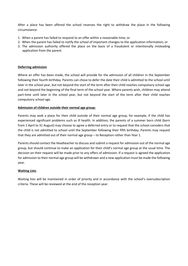After a place has been offered the school reserves the right to withdraw the place in the following circumstance:

- 1. When a parent has failed to respond to an offer within a reasonable time; or
- 2. When the parent has failed to notify the school of important changes to the application information; or
- 3. The admission authority offered the place on the basis of a fraudulent or intentionally misleading application from the parent.

#### **Deferring admission**

Where an offer has been made, the school will provide for the admission of all children in the September following their fourth birthday. Parents can chose to defer the date their child is admitted to the school until later in the school year, but not beyond the start of the term after their child reaches compulsory school age and not beyond the beginning of the final term of the school year. Where parents wish, children may attend part-time until later in the school year, but not beyond the start of the term after their child reaches compulsory school age.

#### **Admission of children outside their normal age group:**

Parents may seek a place for their child outside of their normal age group, for example, if the child has experienced significant problems such as ill health. In addition, the parents of a summer born child (born from 1 April to 31 August) may choose to agree a deferred entry or to request that the school considers that the child is not admitted to school until the September following their fifth birthday. Parents may request that they are admitted out of their normal age group – to Reception rather than Year 1.

Parents should contact the Headteacher to discuss and submit a request for admission out of the normal age group, but should continue to make an application for their child's normal age group at the usual time. The decision on their request will be made prior to any offers of admission. If a request is agreed the application for admission to their normal age group will be withdrawn and a new application must be made the following year.

#### **Waiting Lists**

Waiting lists will be maintained in order of priority and in accordance with the school's oversubscription criteria. These will be reviewed at the end of the reception year.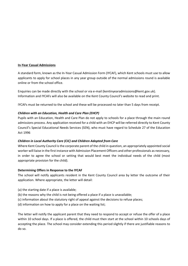#### **In-Year Casual Admissions**

A standard form, known as the In-Year Casual Admission Form (IYCAF), which Kent schools must use to allow applicants to apply for school places in any year group outside of the normal admissions round is available online or from the school office.

Enquiries can be made directly with the school or via e-mail (kentinyearadmissions@kent.gov.uk). Information and IYCAFs will also be available on the Kent County Council's website to read and print.

IYCAFs must be returned to the school and these will be processed no later than 5 days from receipt.

#### *Children with an Education, Health and Care Plan (EHCP)*

Pupils with an Education, Health and Care Plan do not apply to schools for a place through the main round admissions process. Any application received for a child with an EHCP will be referred directly to Kent County Council's Special Educational Needs Services (SEN), who must have regard to Schedule 27 of the Education Act 1996

#### *Children in Local Authority Care (CiC) and Children Adopted from Care*

Where Kent County Council is the corporate parent of the child in question, an appropriately appointed social worker will liaise in the first instance with Admission Placement Officers and other professionals as necessary, in order to agree the school or setting that would best meet the individual needs of the child (most appropriate provision for the child).

#### **Determining Offers in Response to the IYCAF**

The school will notify applicants resident in the Kent County Council area by letter the outcome of their application. Where appropriate, the letter will detail:

- (a) the starting date if a place is available;
- (b) the reasons why the child is not being offered a place if a place is unavailable;
- (c) information about the statutory right of appeal against the decisions to refuse places;
- (d) information on how to apply for a place on the waiting list;

The letter will notify the applicant parent that they need to respond to accept or refuse the offer of a place within 10 school days. If a place is offered, the child must then start at the school within 10 schools days of accepting the place. The school may consider extending this period slightly if there are justifiable reasons to do so.